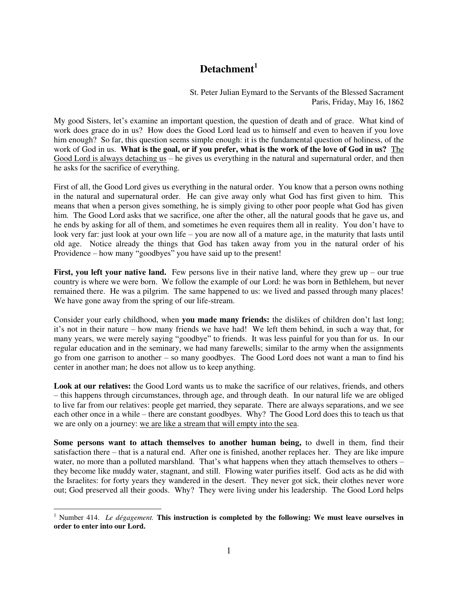## **Detachment<sup>1</sup>**

St. Peter Julian Eymard to the Servants of the Blessed Sacrament Paris, Friday, May 16, 1862

My good Sisters, let's examine an important question, the question of death and of grace. What kind of work does grace do in us? How does the Good Lord lead us to himself and even to heaven if you love him enough? So far, this question seems simple enough: it is the fundamental question of holiness, of the work of God in us. **What is the goal, or if you prefer, what is the work of the love of God in us?** The Good Lord is always detaching  $\overline{u}$  – he gives us everything in the natural and supernatural order, and then he asks for the sacrifice of everything.

First of all, the Good Lord gives us everything in the natural order. You know that a person owns nothing in the natural and supernatural order. He can give away only what God has first given to him. This means that when a person gives something, he is simply giving to other poor people what God has given him. The Good Lord asks that we sacrifice, one after the other, all the natural goods that he gave us, and he ends by asking for all of them, and sometimes he even requires them all in reality. You don't have to look very far: just look at your own life – you are now all of a mature age, in the maturity that lasts until old age. Notice already the things that God has taken away from you in the natural order of his Providence – how many "goodbyes" you have said up to the present!

**First, you left your native land.** Few persons live in their native land, where they grew up – our true country is where we were born. We follow the example of our Lord: he was born in Bethlehem, but never remained there. He was a pilgrim. The same happened to us: we lived and passed through many places! We have gone away from the spring of our life-stream.

Consider your early childhood, when **you made many friends:** the dislikes of children don't last long; it's not in their nature – how many friends we have had! We left them behind, in such a way that, for many years, we were merely saying "goodbye" to friends. It was less painful for you than for us. In our regular education and in the seminary, we had many farewells; similar to the army when the assignments go from one garrison to another – so many goodbyes. The Good Lord does not want a man to find his center in another man; he does not allow us to keep anything.

**Look at our relatives:** the Good Lord wants us to make the sacrifice of our relatives, friends, and others – this happens through circumstances, through age, and through death. In our natural life we are obliged to live far from our relatives: people get married, they separate. There are always separations, and we see each other once in a while – there are constant goodbyes. Why? The Good Lord does this to teach us that we are only on a journey: we are like a stream that will empty into the sea.

**Some persons want to attach themselves to another human being,** to dwell in them, find their satisfaction there – that is a natural end. After one is finished, another replaces her. They are like impure water, no more than a polluted marshland. That's what happens when they attach themselves to others – they become like muddy water, stagnant, and still. Flowing water purifies itself. God acts as he did with the Israelites: for forty years they wandered in the desert. They never got sick, their clothes never wore out; God preserved all their goods. Why? They were living under his leadership. The Good Lord helps

 $\overline{a}$ 

<sup>&</sup>lt;sup>1</sup> Number 414. *Le dégagement*. This instruction is completed by the following: We must leave ourselves in **order to enter into our Lord.**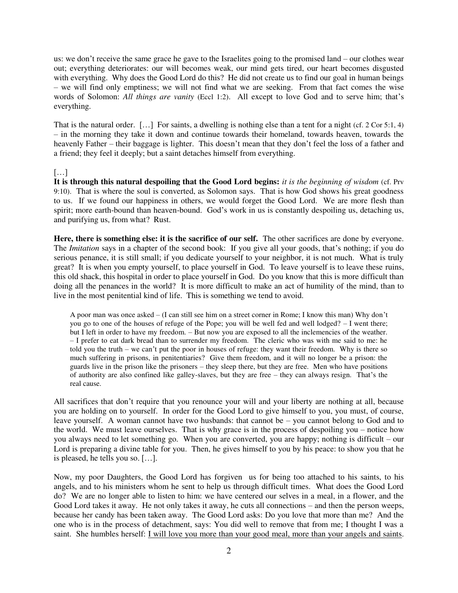us: we don't receive the same grace he gave to the Israelites going to the promised land – our clothes wear out; everything deteriorates: our will becomes weak, our mind gets tired, our heart becomes disgusted with everything. Why does the Good Lord do this? He did not create us to find our goal in human beings – we will find only emptiness; we will not find what we are seeking. From that fact comes the wise words of Solomon: *All things are vanity* (Eccl 1:2). All except to love God and to serve him; that's everything.

That is the natural order.  $[\ldots]$  For saints, a dwelling is nothing else than a tent for a night (cf. 2 Cor 5:1, 4) – in the morning they take it down and continue towards their homeland, towards heaven, towards the heavenly Father – their baggage is lighter. This doesn't mean that they don't feel the loss of a father and a friend; they feel it deeply; but a saint detaches himself from everything.

## […]

**It is through this natural despoiling that the Good Lord begins:** *it is the beginning of wisdom* (cf. Prv 9:10). That is where the soul is converted, as Solomon says. That is how God shows his great goodness to us. If we found our happiness in others, we would forget the Good Lord. We are more flesh than spirit; more earth-bound than heaven-bound. God's work in us is constantly despoiling us, detaching us, and purifying us, from what? Rust.

**Here, there is something else: it is the sacrifice of our self.** The other sacrifices are done by everyone. The *Imitation* says in a chapter of the second book: If you give all your goods, that's nothing; if you do serious penance, it is still small; if you dedicate yourself to your neighbor, it is not much. What is truly great? It is when you empty yourself, to place yourself in God. To leave yourself is to leave these ruins, this old shack, this hospital in order to place yourself in God. Do you know that this is more difficult than doing all the penances in the world? It is more difficult to make an act of humility of the mind, than to live in the most penitential kind of life. This is something we tend to avoid.

A poor man was once asked – (I can still see him on a street corner in Rome; I know this man) Why don't you go to one of the houses of refuge of the Pope; you will be well fed and well lodged? – I went there; but I left in order to have my freedom. – But now you are exposed to all the inclemencies of the weather. – I prefer to eat dark bread than to surrender my freedom. The cleric who was with me said to me: he told you the truth – we can't put the poor in houses of refuge: they want their freedom. Why is there so much suffering in prisons, in penitentiaries? Give them freedom, and it will no longer be a prison: the guards live in the prison like the prisoners – they sleep there, but they are free. Men who have positions of authority are also confined like galley-slaves, but they are free – they can always resign. That's the real cause.

All sacrifices that don't require that you renounce your will and your liberty are nothing at all, because you are holding on to yourself. In order for the Good Lord to give himself to you, you must, of course, leave yourself. A woman cannot have two husbands: that cannot be – you cannot belong to God and to the world. We must leave ourselves. That is why grace is in the process of despoiling you – notice how you always need to let something go. When you are converted, you are happy; nothing is difficult – our Lord is preparing a divine table for you. Then, he gives himself to you by his peace: to show you that he is pleased, he tells you so. […].

Now, my poor Daughters, the Good Lord has forgiven us for being too attached to his saints, to his angels, and to his ministers whom he sent to help us through difficult times. What does the Good Lord do? We are no longer able to listen to him: we have centered our selves in a meal, in a flower, and the Good Lord takes it away. He not only takes it away, he cuts all connections – and then the person weeps, because her candy has been taken away. The Good Lord asks: Do you love that more than me? And the one who is in the process of detachment, says: You did well to remove that from me; I thought I was a saint. She humbles herself: I will love you more than your good meal, more than your angels and saints.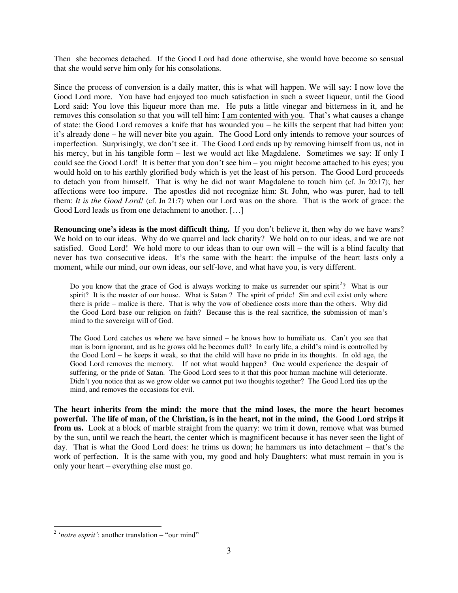Then she becomes detached. If the Good Lord had done otherwise, she would have become so sensual that she would serve him only for his consolations.

Since the process of conversion is a daily matter, this is what will happen. We will say: I now love the Good Lord more. You have had enjoyed too much satisfaction in such a sweet liqueur, until the Good Lord said: You love this liqueur more than me. He puts a little vinegar and bitterness in it, and he removes this consolation so that you will tell him: I am contented with you. That's what causes a change of state: the Good Lord removes a knife that has wounded you – he kills the serpent that had bitten you: it's already done – he will never bite you again. The Good Lord only intends to remove your sources of imperfection. Surprisingly, we don't see it. The Good Lord ends up by removing himself from us, not in his mercy, but in his tangible form – lest we would act like Magdalene. Sometimes we say: If only I could see the Good Lord! It is better that you don't see him – you might become attached to his eyes; you would hold on to his earthly glorified body which is yet the least of his person. The Good Lord proceeds to detach you from himself. That is why he did not want Magdalene to touch him (cf. Jn 20:17); her affections were too impure. The apostles did not recognize him: St. John, who was purer, had to tell them: *It is the Good Lord!* (cf. Jn 21:7) when our Lord was on the shore. That is the work of grace: the Good Lord leads us from one detachment to another. [...]

**Renouncing one's ideas is the most difficult thing.** If you don't believe it, then why do we have wars? We hold on to our ideas. Why do we quarrel and lack charity? We hold on to our ideas, and we are not satisfied. Good Lord! We hold more to our ideas than to our own will – the will is a blind faculty that never has two consecutive ideas. It's the same with the heart: the impulse of the heart lasts only a moment, while our mind, our own ideas, our self-love, and what have you, is very different.

Do you know that the grace of God is always working to make us surrender our spirit<sup>2</sup>? What is our spirit? It is the master of our house. What is Satan ? The spirit of pride! Sin and evil exist only where there is pride – malice is there. That is why the vow of obedience costs more than the others. Why did the Good Lord base our religion on faith? Because this is the real sacrifice, the submission of man's mind to the sovereign will of God.

The Good Lord catches us where we have sinned – he knows how to humiliate us. Can't you see that man is born ignorant, and as he grows old he becomes dull? In early life, a child's mind is controlled by the Good Lord – he keeps it weak, so that the child will have no pride in its thoughts. In old age, the Good Lord removes the memory. If not what would happen? One would experience the despair of suffering, or the pride of Satan. The Good Lord sees to it that this poor human machine will deteriorate. Didn't you notice that as we grow older we cannot put two thoughts together? The Good Lord ties up the mind, and removes the occasions for evil.

**The heart inherits from the mind: the more that the mind loses, the more the heart becomes powerful. The life of man, of the Christian, is in the heart, not in the mind, the Good Lord strips it from us.** Look at a block of marble straight from the quarry: we trim it down, remove what was burned by the sun, until we reach the heart, the center which is magnificent because it has never seen the light of day. That is what the Good Lord does: he trims us down; he hammers us into detachment – that's the work of perfection. It is the same with you, my good and holy Daughters: what must remain in you is only your heart – everything else must go.

 2 '*notre esprit'*: another translation – "our mind"